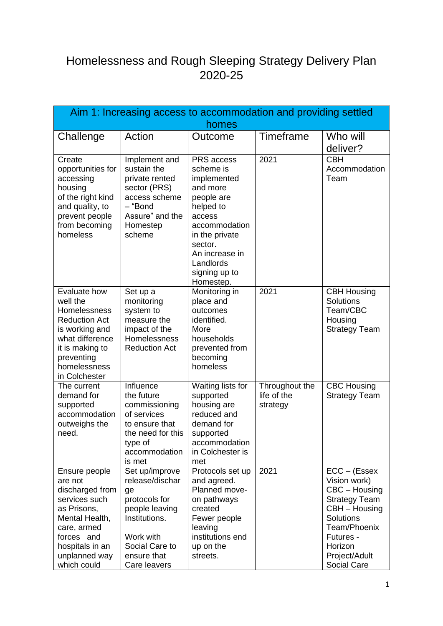## Homelessness and Rough Sleeping Strategy Delivery Plan 2020-25

| Aim 1: Increasing access to accommodation and providing settled<br>homes                                                                                                      |                                                                                                                                                           |                                                                                                                                                                                                    |                                           |                                                                                                                                                                               |
|-------------------------------------------------------------------------------------------------------------------------------------------------------------------------------|-----------------------------------------------------------------------------------------------------------------------------------------------------------|----------------------------------------------------------------------------------------------------------------------------------------------------------------------------------------------------|-------------------------------------------|-------------------------------------------------------------------------------------------------------------------------------------------------------------------------------|
| Challenge                                                                                                                                                                     | Action                                                                                                                                                    | Outcome                                                                                                                                                                                            | <b>Timeframe</b>                          | Who will<br>deliver?                                                                                                                                                          |
| Create<br>opportunities for<br>accessing<br>housing<br>of the right kind<br>and quality, to<br>prevent people<br>from becoming<br>homeless                                    | Implement and<br>sustain the<br>private rented<br>sector (PRS)<br>access scheme<br>– "Bond<br>Assure" and the<br>Homestep<br>scheme                       | PRS access<br>scheme is<br>implemented<br>and more<br>people are<br>helped to<br>access<br>accommodation<br>in the private<br>sector.<br>An increase in<br>Landlords<br>signing up to<br>Homestep. | 2021                                      | <b>CBH</b><br>Accommodation<br>Team                                                                                                                                           |
| Evaluate how<br>well the<br>Homelessness<br><b>Reduction Act</b><br>is working and<br>what difference<br>it is making to<br>preventing<br>homelessness<br>in Colchester       | Set up a<br>monitoring<br>system to<br>measure the<br>impact of the<br>Homelessness<br><b>Reduction Act</b>                                               | Monitoring in<br>place and<br>outcomes<br>identified.<br>More<br>households<br>prevented from<br>becoming<br>homeless                                                                              | 2021                                      | <b>CBH Housing</b><br><b>Solutions</b><br>Team/CBC<br>Housing<br><b>Strategy Team</b>                                                                                         |
| The current<br>demand for<br>supported<br>accommodation<br>outweighs the<br>need.                                                                                             | Influence<br>the future<br>commissioning<br>of services<br>to ensure that<br>the need for this<br>type of<br>accommodation<br>is met                      | Waiting lists for<br>supported<br>housing are<br>reduced and<br>demand for<br>supported<br>accommodation<br>in Colchester is<br>met                                                                | Throughout the<br>life of the<br>strategy | <b>CBC Housing</b><br><b>Strategy Team</b>                                                                                                                                    |
| Ensure people<br>are not<br>discharged from<br>services such<br>as Prisons,<br>Mental Health,<br>care, armed<br>forces and<br>hospitals in an<br>unplanned way<br>which could | Set up/improve<br>release/dischar<br>ge<br>protocols for<br>people leaving<br>Institutions.<br>Work with<br>Social Care to<br>ensure that<br>Care leavers | Protocols set up<br>and agreed.<br>Planned move-<br>on pathways<br>created<br>Fewer people<br>leaving<br>institutions end<br>up on the<br>streets.                                                 | 2021                                      | $ECC - (Essex$<br>Vision work)<br>CBC - Housing<br><b>Strategy Team</b><br>CBH - Housing<br>Solutions<br>Team/Phoenix<br>Futures -<br>Horizon<br>Project/Adult<br>Social Care |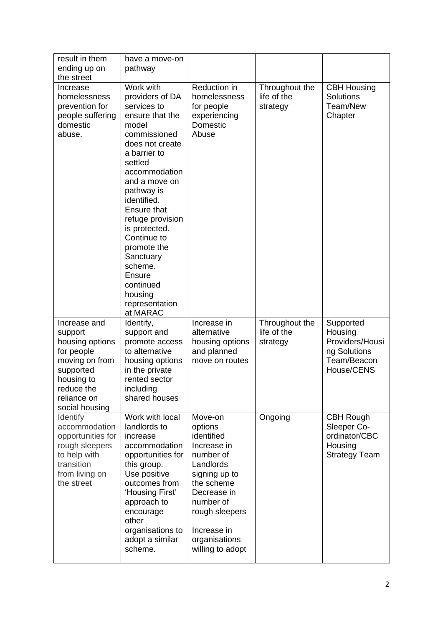| result in them<br>ending up on<br>the street                                                                                                         | have a move-on<br>pathway                                                                                                                                                                                                                                                                                                                                                                    |                                                                                                                                                                                                            |                                           |                                                                                      |
|------------------------------------------------------------------------------------------------------------------------------------------------------|----------------------------------------------------------------------------------------------------------------------------------------------------------------------------------------------------------------------------------------------------------------------------------------------------------------------------------------------------------------------------------------------|------------------------------------------------------------------------------------------------------------------------------------------------------------------------------------------------------------|-------------------------------------------|--------------------------------------------------------------------------------------|
| Increase<br>homelessness<br>prevention for<br>people suffering<br>domestic<br>abuse.                                                                 | Work with<br>providers of DA<br>services to<br>ensure that the<br>model<br>commissioned<br>does not create<br>a barrier to<br>settled<br>accommodation<br>and a move on<br>pathway is<br>identified.<br><b>Ensure that</b><br>refuge provision<br>is protected.<br>Continue to<br>promote the<br>Sanctuary<br>scheme.<br><b>Ensure</b><br>continued<br>housing<br>representation<br>at MARAC | Reduction in<br>homelessness<br>for people<br>experiencing<br>Domestic<br>Abuse                                                                                                                            | Throughout the<br>life of the<br>strategy | <b>CBH Housing</b><br>Solutions<br>Team/New<br>Chapter                               |
| Increase and<br>support<br>housing options<br>for people<br>moving on from<br>supported<br>housing to<br>reduce the<br>reliance on<br>social housing | Identify,<br>support and<br>promote access<br>to alternative<br>housing options<br>in the private<br>rented sector<br>including<br>shared houses                                                                                                                                                                                                                                             | Increase in<br>alternative<br>housing options<br>and planned<br>move on routes                                                                                                                             | Throughout the<br>life of the<br>strategy | Supported<br>Housing<br>Providers/Housi<br>ng Solutions<br>Team/Beacon<br>House/CENS |
| Identify<br>accommodation<br>opportunities for<br>rough sleepers<br>to help with<br>transition<br>from living on<br>the street                       | Work with local<br>landlords to<br>increase<br>accommodation<br>opportunities for<br>this group.<br>Use positive<br>outcomes from<br>'Housing First'<br>approach to<br>encourage<br>other<br>organisations to<br>adopt a similar<br>scheme.                                                                                                                                                  | Move-on<br>options<br>identified<br>Increase in<br>number of<br>Landlords<br>signing up to<br>the scheme<br>Decrease in<br>number of<br>rough sleepers<br>Increase in<br>organisations<br>willing to adopt | Ongoing                                   | <b>CBH Rough</b><br>Sleeper Co-<br>ordinator/CBC<br>Housing<br><b>Strategy Team</b>  |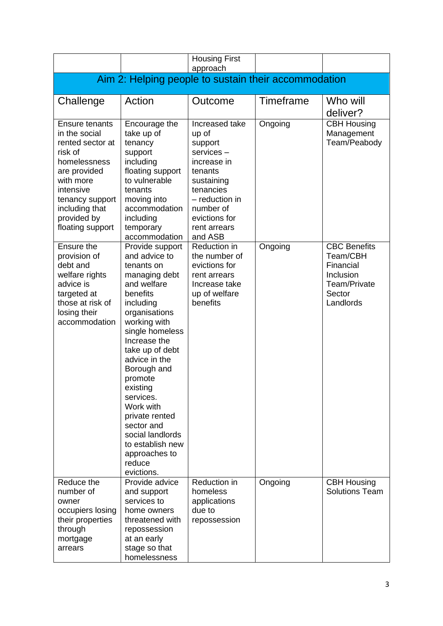|                                                                                                                                                                                                  |                                                                                                                                                                                                                                                                                                                                                                                                  | <b>Housing First</b><br>approach                                                                                                                                                |           |                                                                                                  |
|--------------------------------------------------------------------------------------------------------------------------------------------------------------------------------------------------|--------------------------------------------------------------------------------------------------------------------------------------------------------------------------------------------------------------------------------------------------------------------------------------------------------------------------------------------------------------------------------------------------|---------------------------------------------------------------------------------------------------------------------------------------------------------------------------------|-----------|--------------------------------------------------------------------------------------------------|
|                                                                                                                                                                                                  | Aim 2: Helping people to sustain their accommodation                                                                                                                                                                                                                                                                                                                                             |                                                                                                                                                                                 |           |                                                                                                  |
| Challenge                                                                                                                                                                                        | Action                                                                                                                                                                                                                                                                                                                                                                                           | Outcome                                                                                                                                                                         | Timeframe | Who will<br>deliver?                                                                             |
| Ensure tenants<br>in the social<br>rented sector at<br>risk of<br>homelessness<br>are provided<br>with more<br>intensive<br>tenancy support<br>including that<br>provided by<br>floating support | Encourage the<br>take up of<br>tenancy<br>support<br>including<br>floating support<br>to vulnerable<br>tenants<br>moving into<br>accommodation<br>including<br>temporary<br>accommodation                                                                                                                                                                                                        | Increased take<br>up of<br>support<br>services-<br>increase in<br>tenants<br>sustaining<br>tenancies<br>- reduction in<br>number of<br>evictions for<br>rent arrears<br>and ASB | Ongoing   | <b>CBH Housing</b><br>Management<br>Team/Peabody                                                 |
| Ensure the<br>provision of<br>debt and<br>welfare rights<br>advice is<br>targeted at<br>those at risk of<br>losing their<br>accommodation                                                        | Provide support<br>and advice to<br>tenants on<br>managing debt<br>and welfare<br>benefits<br>including<br>organisations<br>working with<br>single homeless<br>Increase the<br>take up of debt<br>advice in the<br>Borough and<br>promote<br>existing<br>services.<br>Work with<br>private rented<br>sector and<br>social landlords<br>to establish new<br>approaches to<br>reduce<br>evictions. | Reduction in<br>the number of<br>evictions for<br>rent arrears<br>Increase take<br>up of welfare<br>benefits                                                                    | Ongoing   | <b>CBC Benefits</b><br>Team/CBH<br>Financial<br>Inclusion<br>Team/Private<br>Sector<br>Landlords |
| Reduce the<br>number of<br>owner<br>occupiers losing<br>their properties<br>through<br>mortgage<br>arrears                                                                                       | Provide advice<br>and support<br>services to<br>home owners<br>threatened with<br>repossession<br>at an early<br>stage so that<br>homelessness                                                                                                                                                                                                                                                   | Reduction in<br>homeless<br>applications<br>due to<br>repossession                                                                                                              | Ongoing   | <b>CBH Housing</b><br><b>Solutions Team</b>                                                      |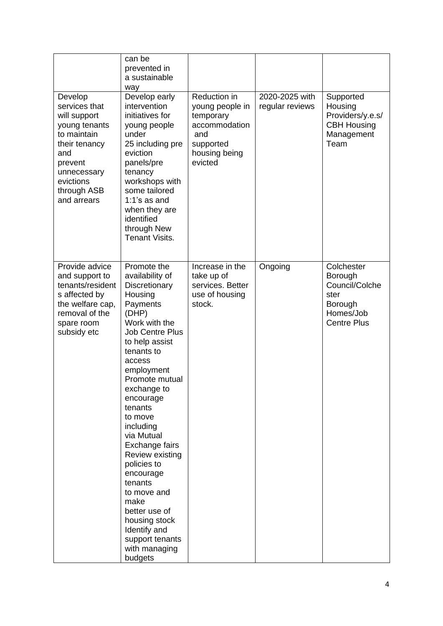| Develop<br>services that<br>will support<br>young tenants<br>to maintain<br>their tenancy<br>and<br>prevent<br>unnecessary<br>evictions<br>through ASB<br>and arrears | can be<br>prevented in<br>a sustainable<br>way<br>Develop early<br>intervention<br>initiatives for<br>young people<br>under<br>25 including pre<br>eviction<br>panels/pre<br>tenancy<br>workshops with<br>some tailored<br>$1:1's$ as and<br>when they are<br>identified<br>through New<br><b>Tenant Visits.</b>                                                                                                                                                                      | Reduction in<br>young people in<br>temporary<br>accommodation<br>and<br>supported<br>housing being<br>evicted | 2020-2025 with<br>regular reviews | Supported<br>Housing<br>Providers/y.e.s/<br><b>CBH Housing</b><br>Management<br>Team          |
|-----------------------------------------------------------------------------------------------------------------------------------------------------------------------|---------------------------------------------------------------------------------------------------------------------------------------------------------------------------------------------------------------------------------------------------------------------------------------------------------------------------------------------------------------------------------------------------------------------------------------------------------------------------------------|---------------------------------------------------------------------------------------------------------------|-----------------------------------|-----------------------------------------------------------------------------------------------|
| Provide advice<br>and support to<br>tenants/resident<br>s affected by<br>the welfare cap,<br>removal of the<br>spare room<br>subsidy etc                              | Promote the<br>availability of<br>Discretionary<br>Housing<br>Payments<br>(DHP)<br>Work with the<br><b>Job Centre Plus</b><br>to help assist<br>tenants to<br>access<br>employment<br>Promote mutual<br>exchange to<br>encourage<br>tenants<br>to move<br>including<br>via Mutual<br>Exchange fairs<br>Review existing<br>policies to<br>encourage<br>tenants<br>to move and<br>make<br>better use of<br>housing stock<br>Identify and<br>support tenants<br>with managing<br>budgets | Increase in the<br>take up of<br>services. Better<br>use of housing<br>stock.                                 | Ongoing                           | Colchester<br>Borough<br>Council/Colche<br>ster<br>Borough<br>Homes/Job<br><b>Centre Plus</b> |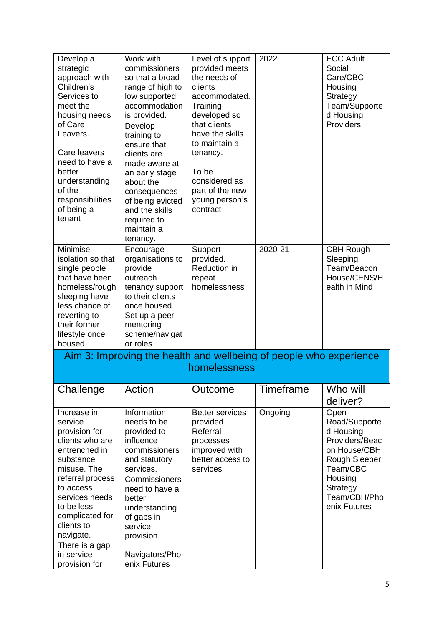| Develop a<br>strategic<br>approach with<br>Children's<br>Services to<br>meet the<br>housing needs<br>of Care<br>Leavers.<br>Care leavers<br>need to have a<br>better<br>understanding<br>of the<br>responsibilities<br>of being a<br>tenant                             | Work with<br>commissioners<br>so that a broad<br>range of high to<br>low supported<br>accommodation<br>is provided.<br>Develop<br>training to<br>ensure that<br>clients are<br>made aware at<br>an early stage<br>about the<br>consequences<br>of being evicted<br>and the skills<br>required to<br>maintain a | Level of support<br>provided meets<br>the needs of<br>clients<br>accommodated.<br>Training<br>developed so<br>that clients<br>have the skills<br>to maintain a<br>tenancy.<br>To be<br>considered as<br>part of the new<br>young person's<br>contract | 2022             | <b>ECC Adult</b><br>Social<br>Care/CBC<br>Housing<br>Strategy<br>Team/Supporte<br>d Housing<br>Providers                                                 |
|-------------------------------------------------------------------------------------------------------------------------------------------------------------------------------------------------------------------------------------------------------------------------|----------------------------------------------------------------------------------------------------------------------------------------------------------------------------------------------------------------------------------------------------------------------------------------------------------------|-------------------------------------------------------------------------------------------------------------------------------------------------------------------------------------------------------------------------------------------------------|------------------|----------------------------------------------------------------------------------------------------------------------------------------------------------|
| Minimise<br>isolation so that<br>single people<br>that have been<br>homeless/rough<br>sleeping have<br>less chance of<br>reverting to<br>their former<br>lifestyle once<br>housed                                                                                       | tenancy.<br>Encourage<br>organisations to<br>provide<br>outreach<br>tenancy support<br>to their clients<br>once housed.<br>Set up a peer<br>mentoring<br>scheme/navigat<br>or roles                                                                                                                            | Support<br>provided.<br>Reduction in<br>repeat<br>homelessness                                                                                                                                                                                        | 2020-21          | <b>CBH Rough</b><br>Sleeping<br>Team/Beacon<br>House/CENS/H<br>ealth in Mind                                                                             |
|                                                                                                                                                                                                                                                                         |                                                                                                                                                                                                                                                                                                                | Aim 3: Improving the health and wellbeing of people who experience<br>homelessness                                                                                                                                                                    |                  |                                                                                                                                                          |
| Challenge                                                                                                                                                                                                                                                               | Action                                                                                                                                                                                                                                                                                                         | Outcome                                                                                                                                                                                                                                               | <b>Timeframe</b> | Who will                                                                                                                                                 |
|                                                                                                                                                                                                                                                                         |                                                                                                                                                                                                                                                                                                                |                                                                                                                                                                                                                                                       |                  | deliver?                                                                                                                                                 |
| Increase in<br>service<br>provision for<br>clients who are<br>entrenched in<br>substance<br>misuse. The<br>referral process<br>to access<br>services needs<br>to be less<br>complicated for<br>clients to<br>navigate.<br>There is a gap<br>in service<br>provision for | Information<br>needs to be<br>provided to<br>influence<br>commissioners<br>and statutory<br>services.<br>Commissioners<br>need to have a<br>better<br>understanding<br>of gaps in<br>service<br>provision.<br>Navigators/Pho<br>enix Futures                                                                   | <b>Better services</b><br>provided<br>Referral<br>processes<br>improved with<br>better access to<br>services                                                                                                                                          | Ongoing          | Open<br>Road/Supporte<br>d Housing<br>Providers/Beac<br>on House/CBH<br>Rough Sleeper<br>Team/CBC<br>Housing<br>Strategy<br>Team/CBH/Pho<br>enix Futures |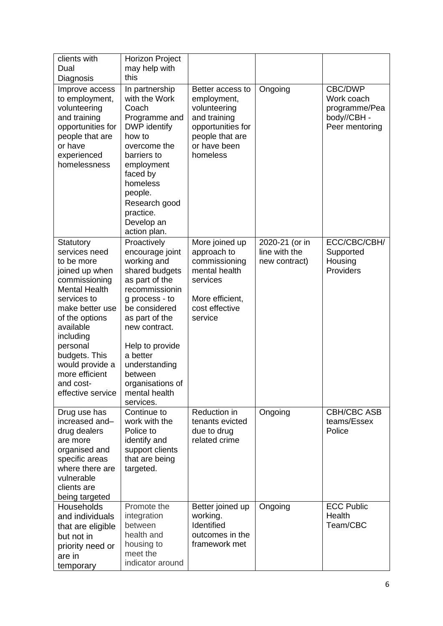| clients with<br>Dual<br>Diagnosis                                                                                                                                                                                                                                                     | <b>Horizon Project</b><br>may help with<br>this                                                                                                                                                                                                                                        |                                                                                                                                     |                                                  |                                                                        |
|---------------------------------------------------------------------------------------------------------------------------------------------------------------------------------------------------------------------------------------------------------------------------------------|----------------------------------------------------------------------------------------------------------------------------------------------------------------------------------------------------------------------------------------------------------------------------------------|-------------------------------------------------------------------------------------------------------------------------------------|--------------------------------------------------|------------------------------------------------------------------------|
| Improve access<br>to employment,<br>volunteering<br>and training<br>opportunities for<br>people that are<br>or have<br>experienced<br>homelessness                                                                                                                                    | In partnership<br>with the Work<br>Coach<br>Programme and<br>DWP identify<br>how to<br>overcome the<br>barriers to<br>employment<br>faced by<br>homeless<br>people.<br>Research good<br>practice.<br>Develop an<br>action plan.                                                        | Better access to<br>employment,<br>volunteering<br>and training<br>opportunities for<br>people that are<br>or have been<br>homeless | Ongoing                                          | CBC/DWP<br>Work coach<br>programme/Pea<br>body//CBH-<br>Peer mentoring |
| Statutory<br>services need<br>to be more<br>joined up when<br>commissioning<br><b>Mental Health</b><br>services to<br>make better use<br>of the options<br>available<br>including<br>personal<br>budgets. This<br>would provide a<br>more efficient<br>and cost-<br>effective service | Proactively<br>encourage joint<br>working and<br>shared budgets<br>as part of the<br>recommissionin<br>g process - to<br>be considered<br>as part of the<br>new contract.<br>Help to provide<br>a better<br>understanding<br>between<br>organisations of<br>mental health<br>services. | More joined up<br>approach to<br>commissioning<br>mental health<br>services<br>More efficient,<br>cost effective<br>service         | 2020-21 (or in<br>line with the<br>new contract) | ECC/CBC/CBH/<br>Supported<br>Housing<br>Providers                      |
| Drug use has<br>increased and-<br>drug dealers<br>are more<br>organised and<br>specific areas<br>where there are<br>vulnerable<br>clients are<br>being targeted                                                                                                                       | Continue to<br>work with the<br>Police to<br>identify and<br>support clients<br>that are being<br>targeted.                                                                                                                                                                            | Reduction in<br>tenants evicted<br>due to drug<br>related crime                                                                     | Ongoing                                          | <b>CBH/CBC ASB</b><br>teams/Essex<br>Police                            |
| Households<br>and individuals<br>that are eligible<br>but not in<br>priority need or<br>are in<br>temporary                                                                                                                                                                           | Promote the<br>integration<br>between<br>health and<br>housing to<br>meet the<br>indicator around                                                                                                                                                                                      | Better joined up<br>working.<br>Identified<br>outcomes in the<br>framework met                                                      | Ongoing                                          | <b>ECC Public</b><br>Health<br>Team/CBC                                |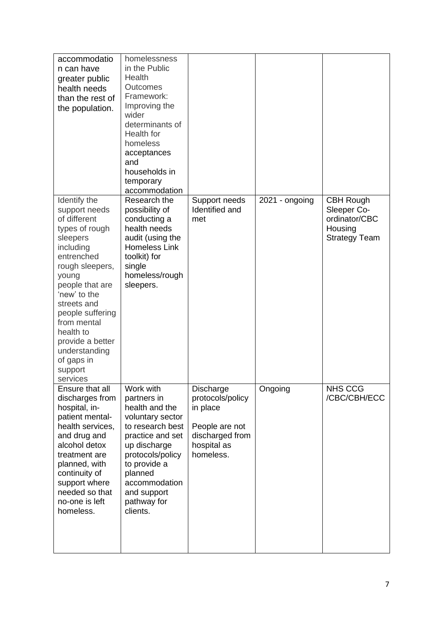| accommodatio<br>n can have<br>greater public<br>health needs<br>than the rest of<br>the population.                                                                                                                                                                                                            | homelessness<br>in the Public<br>Health<br>Outcomes<br>Framework:<br>Improving the<br>wider<br>determinants of<br>Health for<br>homeless<br>acceptances<br>and<br>households in<br>temporary<br>accommodation                    |                                                                                                            |                |                                                                                     |
|----------------------------------------------------------------------------------------------------------------------------------------------------------------------------------------------------------------------------------------------------------------------------------------------------------------|----------------------------------------------------------------------------------------------------------------------------------------------------------------------------------------------------------------------------------|------------------------------------------------------------------------------------------------------------|----------------|-------------------------------------------------------------------------------------|
| Identify the<br>support needs<br>of different<br>types of rough<br>sleepers<br>including<br>entrenched<br>rough sleepers,<br>young<br>people that are<br>'new' to the<br>streets and<br>people suffering<br>from mental<br>health to<br>provide a better<br>understanding<br>of gaps in<br>support<br>services | Research the<br>possibility of<br>conducting a<br>health needs<br>audit (using the<br>Homeless Link<br>toolkit) for<br>single<br>homeless/rough<br>sleepers.                                                                     | Support needs<br>Identified and<br>met                                                                     | 2021 - ongoing | <b>CBH Rough</b><br>Sleeper Co-<br>ordinator/CBC<br>Housing<br><b>Strategy Team</b> |
| Ensure that all<br>discharges from<br>hospital, in-<br>patient mental-<br>health services,<br>and drug and<br>alcohol detox<br>treatment are<br>planned, with<br>continuity of<br>support where<br>needed so that<br>no-one is left<br>homeless.                                                               | Work with<br>partners in<br>health and the<br>voluntary sector<br>to research best<br>practice and set<br>up discharge<br>protocols/policy<br>to provide a<br>planned<br>accommodation<br>and support<br>pathway for<br>clients. | Discharge<br>protocols/policy<br>in place<br>People are not<br>discharged from<br>hospital as<br>homeless. | Ongoing        | NHS CCG<br>/CBC/CBH/ECC                                                             |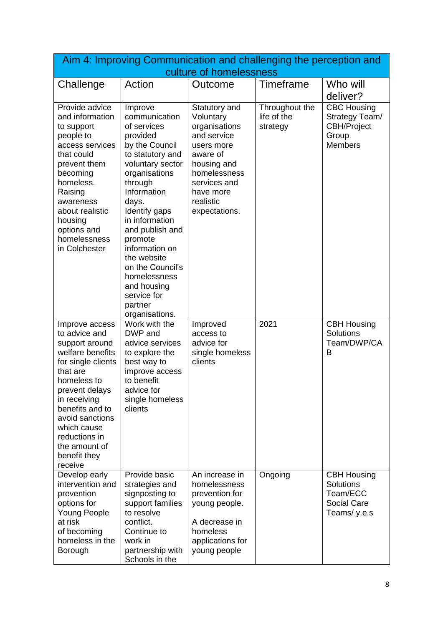| Aim 4: Improving Communication and challenging the perception and<br>culture of homelessness                                                                                                                                                                               |                                                                                                                                                                                                                                                                                                                                                                    |                                                                                                                                                                                |                                           |                                                                                       |
|----------------------------------------------------------------------------------------------------------------------------------------------------------------------------------------------------------------------------------------------------------------------------|--------------------------------------------------------------------------------------------------------------------------------------------------------------------------------------------------------------------------------------------------------------------------------------------------------------------------------------------------------------------|--------------------------------------------------------------------------------------------------------------------------------------------------------------------------------|-------------------------------------------|---------------------------------------------------------------------------------------|
| Challenge                                                                                                                                                                                                                                                                  | Action                                                                                                                                                                                                                                                                                                                                                             | Outcome                                                                                                                                                                        | Timeframe                                 | Who will                                                                              |
|                                                                                                                                                                                                                                                                            |                                                                                                                                                                                                                                                                                                                                                                    |                                                                                                                                                                                |                                           | deliver?                                                                              |
| Provide advice<br>and information<br>to support<br>people to<br>access services<br>that could<br>prevent them<br>becoming<br>homeless.<br>Raising<br>awareness<br>about realistic<br>housing<br>options and<br>homelessness<br>in Colchester                               | Improve<br>communication<br>of services<br>provided<br>by the Council<br>to statutory and<br>voluntary sector<br>organisations<br>through<br>Information<br>days.<br>Identify gaps<br>in information<br>and publish and<br>promote<br>information on<br>the website<br>on the Council's<br>homelessness<br>and housing<br>service for<br>partner<br>organisations. | Statutory and<br>Voluntary<br>organisations<br>and service<br>users more<br>aware of<br>housing and<br>homelessness<br>services and<br>have more<br>realistic<br>expectations. | Throughout the<br>life of the<br>strategy | <b>CBC Housing</b><br>Strategy Team/<br><b>CBH/Project</b><br>Group<br><b>Members</b> |
| Improve access<br>to advice and<br>support around<br>welfare benefits<br>for single clients<br>that are<br>homeless to<br>prevent delays<br>in receiving<br>benefits and to<br>avoid sanctions<br>which cause<br>reductions in<br>the amount of<br>benefit they<br>receive | Work with the<br>DWP and<br>advice services<br>to explore the<br>best way to<br>improve access<br>to benefit<br>advice for<br>single homeless<br>clients                                                                                                                                                                                                           | Improved<br>access to<br>advice for<br>single homeless<br>clients                                                                                                              | 2021                                      | <b>CBH Housing</b><br>Solutions<br>Team/DWP/CA<br>в                                   |
| Develop early<br>intervention and<br>prevention<br>options for<br>Young People<br>at risk<br>of becoming<br>homeless in the<br>Borough                                                                                                                                     | Provide basic<br>strategies and<br>signposting to<br>support families<br>to resolve<br>conflict.<br>Continue to<br>work in<br>partnership with<br>Schools in the                                                                                                                                                                                                   | An increase in<br>homelessness<br>prevention for<br>young people.<br>A decrease in<br>homeless<br>applications for<br>young people                                             | Ongoing                                   | <b>CBH Housing</b><br>Solutions<br>Team/ECC<br><b>Social Care</b><br>Teams/y.e.s      |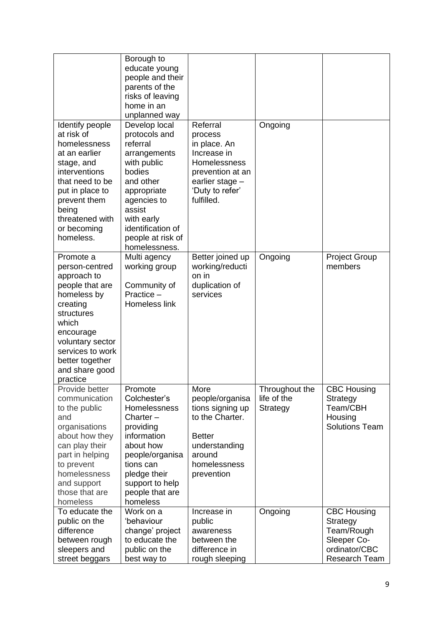|                                                                                                                                                                                                                       | Borough to<br>educate young<br>people and their<br>parents of the<br>risks of leaving<br>home in an<br>unplanned way                                                                                              |                                                                                                                                                   |                                           |                                                                                               |
|-----------------------------------------------------------------------------------------------------------------------------------------------------------------------------------------------------------------------|-------------------------------------------------------------------------------------------------------------------------------------------------------------------------------------------------------------------|---------------------------------------------------------------------------------------------------------------------------------------------------|-------------------------------------------|-----------------------------------------------------------------------------------------------|
| Identify people<br>at risk of<br>homelessness<br>at an earlier<br>stage, and<br>interventions<br>that need to be<br>put in place to<br>prevent them<br>being<br>threatened with<br>or becoming<br>homeless.           | Develop local<br>protocols and<br>referral<br>arrangements<br>with public<br>bodies<br>and other<br>appropriate<br>agencies to<br>assist<br>with early<br>identification of<br>people at risk of<br>homelessness. | Referral<br>process<br>in place. An<br>Increase in<br><b>Homelessness</b><br>prevention at an<br>earlier stage -<br>'Duty to refer'<br>fulfilled. | Ongoing                                   |                                                                                               |
| Promote a<br>person-centred<br>approach to<br>people that are<br>homeless by<br>creating<br>structures<br>which<br>encourage<br>voluntary sector<br>services to work<br>better together<br>and share good<br>practice | Multi agency<br>working group<br>Community of<br>Practice -<br>Homeless link                                                                                                                                      | Better joined up<br>working/reducti<br>on in<br>duplication of<br>services                                                                        | Ongoing                                   | <b>Project Group</b><br>members                                                               |
| Provide better<br>communication<br>to the public<br>and<br>organisations<br>about how they<br>can play their<br>part in helping<br>to prevent<br>homelessness<br>and support<br>those that are<br>homeless            | Promote<br>Colchester's<br>Homelessness<br>Charter $-$<br>providing<br>information<br>about how<br>people/organisa<br>tions can<br>pledge their<br>support to help<br>people that are<br>homeless                 | More<br>people/organisa<br>tions signing up<br>to the Charter.<br><b>Better</b><br>understanding<br>around<br>homelessness<br>prevention          | Throughout the<br>life of the<br>Strategy | <b>CBC Housing</b><br>Strategy<br>Team/CBH<br>Housing<br><b>Solutions Team</b>                |
| To educate the<br>public on the<br>difference<br>between rough<br>sleepers and<br>street beggars                                                                                                                      | Work on a<br>'behaviour<br>change' project<br>to educate the<br>public on the<br>best way to                                                                                                                      | Increase in<br>public<br>awareness<br>between the<br>difference in<br>rough sleeping                                                              | Ongoing                                   | <b>CBC Housing</b><br>Strategy<br>Team/Rough<br>Sleeper Co-<br>ordinator/CBC<br>Research Team |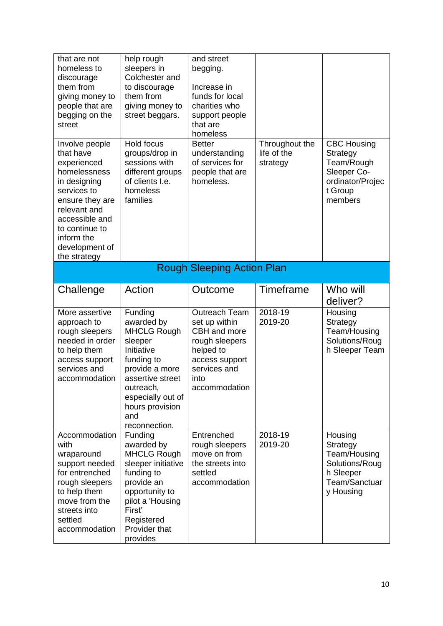| that are not<br>homeless to<br>discourage<br>them from<br>giving money to<br>people that are<br>begging on the<br>street                                                                                         | help rough<br>sleepers in<br>Colchester and<br>to discourage<br>them from<br>giving money to<br>street beggars.                                                                                       | and street<br>begging.<br>Increase in<br>funds for local<br>charities who<br>support people<br>that are<br>homeless                             |                                           |                                                                                                       |
|------------------------------------------------------------------------------------------------------------------------------------------------------------------------------------------------------------------|-------------------------------------------------------------------------------------------------------------------------------------------------------------------------------------------------------|-------------------------------------------------------------------------------------------------------------------------------------------------|-------------------------------------------|-------------------------------------------------------------------------------------------------------|
| Involve people<br>that have<br>experienced<br>homelessness<br>in designing<br>services to<br>ensure they are<br>relevant and<br>accessible and<br>to continue to<br>inform the<br>development of<br>the strategy | Hold focus<br>groups/drop in<br>sessions with<br>different groups<br>of clients I.e.<br>homeless<br>families                                                                                          | <b>Better</b><br>understanding<br>of services for<br>people that are<br>homeless.                                                               | Throughout the<br>life of the<br>strategy | <b>CBC Housing</b><br>Strategy<br>Team/Rough<br>Sleeper Co-<br>ordinator/Projec<br>t Group<br>members |
|                                                                                                                                                                                                                  |                                                                                                                                                                                                       | <b>Rough Sleeping Action Plan</b>                                                                                                               |                                           |                                                                                                       |
| Challenge                                                                                                                                                                                                        | Action                                                                                                                                                                                                | Outcome                                                                                                                                         | Timeframe                                 | Who will<br>deliver?                                                                                  |
| More assertive<br>approach to<br>rough sleepers<br>needed in order<br>to help them<br>access support<br>services and<br>accommodation                                                                            | Funding<br>awarded by<br><b>MHCLG Rough</b><br>sleeper<br>Initiative<br>funding to<br>provide a more<br>assertive street<br>outreach,<br>especially out of<br>hours provision<br>and<br>reconnection. | <b>Outreach Team</b><br>set up within<br>CBH and more<br>rough sleepers<br>helped to<br>access support<br>services and<br>into<br>accommodation | 2018-19<br>2019-20                        | Housing<br>Strategy<br>Team/Housing<br>Solutions/Roug<br>h Sleeper Team                               |
| Accommodation<br>with<br>wraparound<br>support needed<br>for entrenched<br>rough sleepers<br>to help them<br>move from the<br>streets into<br>settled<br>accommodation                                           | Funding<br>awarded by<br><b>MHCLG Rough</b><br>sleeper initiative<br>funding to<br>provide an<br>opportunity to<br>pilot a 'Housing<br>First'<br>Registered<br>Provider that<br>provides              | Entrenched<br>rough sleepers<br>move on from<br>the streets into<br>settled<br>accommodation                                                    | 2018-19<br>2019-20                        | Housing<br>Strategy<br>Team/Housing<br>Solutions/Roug<br>h Sleeper<br>Team/Sanctuar<br>y Housing      |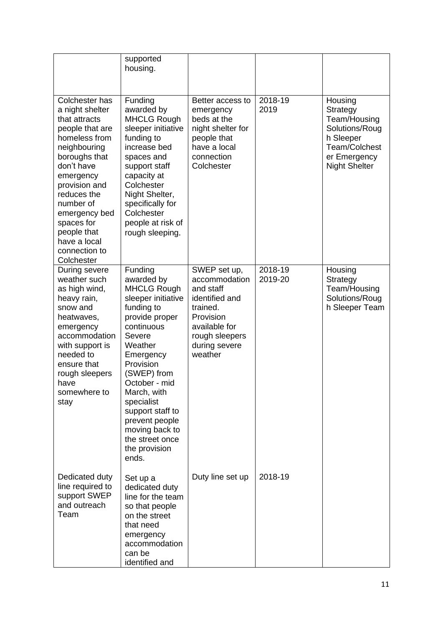|                                                                                                                                                                                                                                                                                              | supported<br>housing.                                                                                                                                                                                                                                                                                                            |                                                                                                                                                      |                        |                                                                                                                             |
|----------------------------------------------------------------------------------------------------------------------------------------------------------------------------------------------------------------------------------------------------------------------------------------------|----------------------------------------------------------------------------------------------------------------------------------------------------------------------------------------------------------------------------------------------------------------------------------------------------------------------------------|------------------------------------------------------------------------------------------------------------------------------------------------------|------------------------|-----------------------------------------------------------------------------------------------------------------------------|
| Colchester has<br>a night shelter<br>that attracts<br>people that are<br>homeless from<br>neighbouring<br>boroughs that<br>don't have<br>emergency<br>provision and<br>reduces the<br>number of<br>emergency bed<br>spaces for<br>people that<br>have a local<br>connection to<br>Colchester | Funding<br>awarded by<br><b>MHCLG Rough</b><br>sleeper initiative<br>funding to<br>increase bed<br>spaces and<br>support staff<br>capacity at<br>Colchester<br>Night Shelter,<br>specifically for<br>Colchester<br>people at risk of<br>rough sleeping.                                                                          | Better access to<br>emergency<br>beds at the<br>night shelter for<br>people that<br>have a local<br>connection<br>Colchester                         | $2018 - 19$<br>2019    | Housing<br>Strategy<br>Team/Housing<br>Solutions/Roug<br>h Sleeper<br>Team/Colchest<br>er Emergency<br><b>Night Shelter</b> |
| During severe<br>weather such<br>as high wind,<br>heavy rain,<br>snow and<br>heatwaves,<br>emergency<br>accommodation<br>with support is<br>needed to<br>ensure that<br>rough sleepers<br>have<br>somewhere to<br>stay                                                                       | Funding<br>awarded by<br><b>MHCLG Rough</b><br>sleeper initiative<br>funding to<br>provide proper<br>continuous<br>Severe<br>Weather<br>Emergency<br>Provision<br>(SWEP) from<br>October - mid<br>March, with<br>specialist<br>support staff to<br>prevent people<br>moving back to<br>the street once<br>the provision<br>ends. | SWEP set up,<br>accommodation<br>and staff<br>identified and<br>trained.<br>Provision<br>available for<br>rough sleepers<br>during severe<br>weather | $2018 - 19$<br>2019-20 | Housing<br>Strategy<br>Team/Housing<br>Solutions/Roug<br>h Sleeper Team                                                     |
| Dedicated duty<br>line required to<br>support SWEP<br>and outreach<br>Team                                                                                                                                                                                                                   | Set up a<br>dedicated duty<br>line for the team<br>so that people<br>on the street<br>that need<br>emergency<br>accommodation<br>can be<br>identified and                                                                                                                                                                        | Duty line set up                                                                                                                                     | 2018-19                |                                                                                                                             |